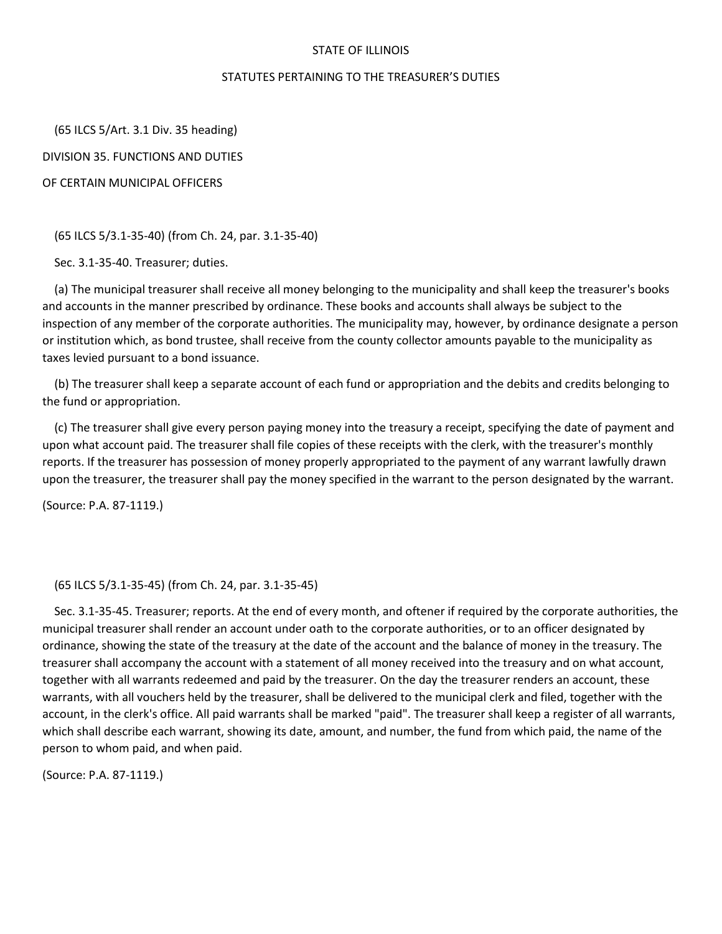## STATE OF ILLINOIS

## STATUTES PERTAINING TO THE TREASURER'S DUTIES

 (65 ILCS 5/Art. 3.1 Div. 35 heading) DIVISION 35. FUNCTIONS AND DUTIES OF CERTAIN MUNICIPAL OFFICERS

(65 ILCS 5/3.1-35-40) (from Ch. 24, par. 3.1-35-40)

Sec. 3.1-35-40. Treasurer; duties.

 (a) The municipal treasurer shall receive all money belonging to the municipality and shall keep the treasurer's books and accounts in the manner prescribed by ordinance. These books and accounts shall always be subject to the inspection of any member of the corporate authorities. The municipality may, however, by ordinance designate a person or institution which, as bond trustee, shall receive from the county collector amounts payable to the municipality as taxes levied pursuant to a bond issuance.

 (b) The treasurer shall keep a separate account of each fund or appropriation and the debits and credits belonging to the fund or appropriation.

 (c) The treasurer shall give every person paying money into the treasury a receipt, specifying the date of payment and upon what account paid. The treasurer shall file copies of these receipts with the clerk, with the treasurer's monthly reports. If the treasurer has possession of money properly appropriated to the payment of any warrant lawfully drawn upon the treasurer, the treasurer shall pay the money specified in the warrant to the person designated by the warrant.

(Source: P.A. 87-1119.)

(65 ILCS 5/3.1-35-45) (from Ch. 24, par. 3.1-35-45)

 Sec. 3.1-35-45. Treasurer; reports. At the end of every month, and oftener if required by the corporate authorities, the municipal treasurer shall render an account under oath to the corporate authorities, or to an officer designated by ordinance, showing the state of the treasury at the date of the account and the balance of money in the treasury. The treasurer shall accompany the account with a statement of all money received into the treasury and on what account, together with all warrants redeemed and paid by the treasurer. On the day the treasurer renders an account, these warrants, with all vouchers held by the treasurer, shall be delivered to the municipal clerk and filed, together with the account, in the clerk's office. All paid warrants shall be marked "paid". The treasurer shall keep a register of all warrants, which shall describe each warrant, showing its date, amount, and number, the fund from which paid, the name of the person to whom paid, and when paid.

(Source: P.A. 87-1119.)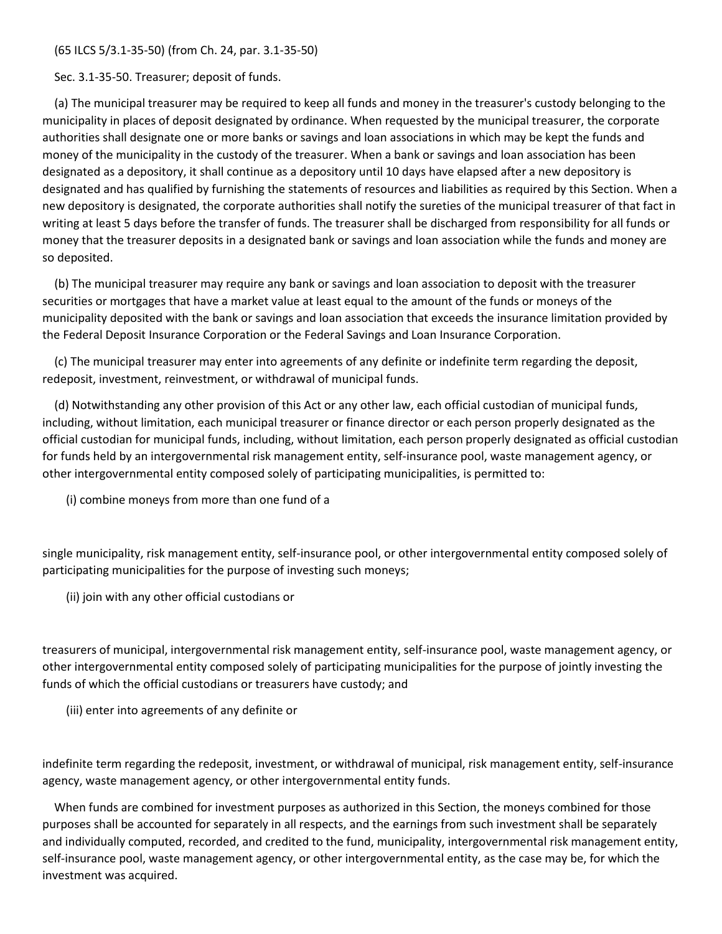(65 ILCS 5/3.1-35-50) (from Ch. 24, par. 3.1-35-50)

Sec. 3.1-35-50. Treasurer; deposit of funds.

 (a) The municipal treasurer may be required to keep all funds and money in the treasurer's custody belonging to the municipality in places of deposit designated by ordinance. When requested by the municipal treasurer, the corporate authorities shall designate one or more banks or savings and loan associations in which may be kept the funds and money of the municipality in the custody of the treasurer. When a bank or savings and loan association has been designated as a depository, it shall continue as a depository until 10 days have elapsed after a new depository is designated and has qualified by furnishing the statements of resources and liabilities as required by this Section. When a new depository is designated, the corporate authorities shall notify the sureties of the municipal treasurer of that fact in writing at least 5 days before the transfer of funds. The treasurer shall be discharged from responsibility for all funds or money that the treasurer deposits in a designated bank or savings and loan association while the funds and money are so deposited.

 (b) The municipal treasurer may require any bank or savings and loan association to deposit with the treasurer securities or mortgages that have a market value at least equal to the amount of the funds or moneys of the municipality deposited with the bank or savings and loan association that exceeds the insurance limitation provided by the Federal Deposit Insurance Corporation or the Federal Savings and Loan Insurance Corporation.

 (c) The municipal treasurer may enter into agreements of any definite or indefinite term regarding the deposit, redeposit, investment, reinvestment, or withdrawal of municipal funds.

 (d) Notwithstanding any other provision of this Act or any other law, each official custodian of municipal funds, including, without limitation, each municipal treasurer or finance director or each person properly designated as the official custodian for municipal funds, including, without limitation, each person properly designated as official custodian for funds held by an intergovernmental risk management entity, self-insurance pool, waste management agency, or other intergovernmental entity composed solely of participating municipalities, is permitted to:

(i) combine moneys from more than one fund of a

single municipality, risk management entity, self-insurance pool, or other intergovernmental entity composed solely of participating municipalities for the purpose of investing such moneys;

(ii) join with any other official custodians or

treasurers of municipal, intergovernmental risk management entity, self-insurance pool, waste management agency, or other intergovernmental entity composed solely of participating municipalities for the purpose of jointly investing the funds of which the official custodians or treasurers have custody; and

(iii) enter into agreements of any definite or

indefinite term regarding the redeposit, investment, or withdrawal of municipal, risk management entity, self-insurance agency, waste management agency, or other intergovernmental entity funds.

 When funds are combined for investment purposes as authorized in this Section, the moneys combined for those purposes shall be accounted for separately in all respects, and the earnings from such investment shall be separately and individually computed, recorded, and credited to the fund, municipality, intergovernmental risk management entity, self-insurance pool, waste management agency, or other intergovernmental entity, as the case may be, for which the investment was acquired.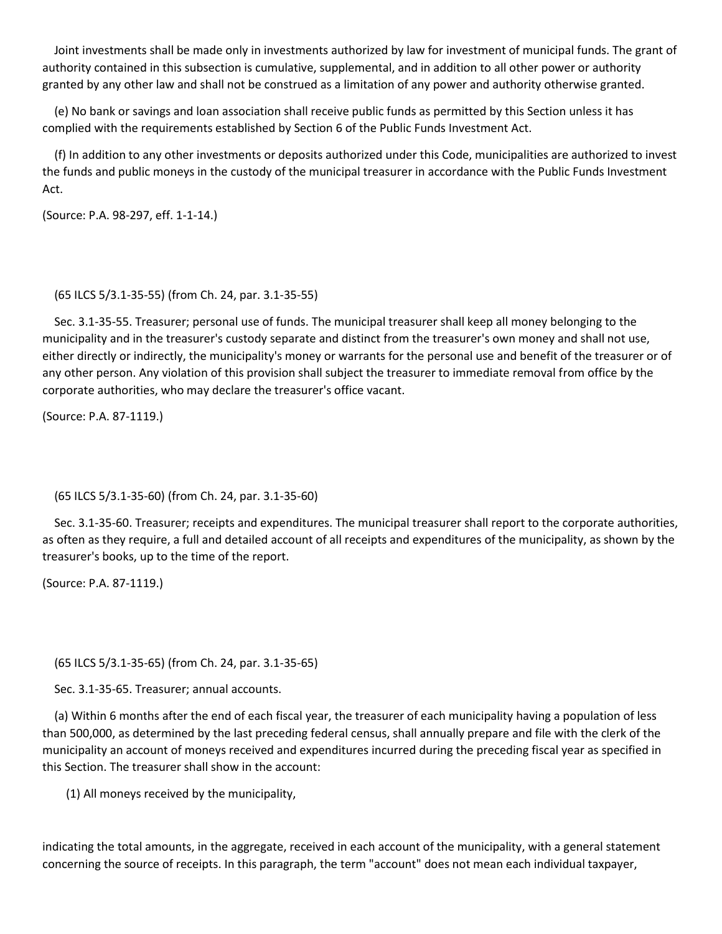Joint investments shall be made only in investments authorized by law for investment of municipal funds. The grant of authority contained in this subsection is cumulative, supplemental, and in addition to all other power or authority granted by any other law and shall not be construed as a limitation of any power and authority otherwise granted.

 (e) No bank or savings and loan association shall receive public funds as permitted by this Section unless it has complied with the requirements established by Section 6 of the Public Funds Investment Act.

 (f) In addition to any other investments or deposits authorized under this Code, municipalities are authorized to invest the funds and public moneys in the custody of the municipal treasurer in accordance with the Public Funds Investment Act.

(Source: P.A. 98-297, eff. 1-1-14.)

## (65 ILCS 5/3.1-35-55) (from Ch. 24, par. 3.1-35-55)

 Sec. 3.1-35-55. Treasurer; personal use of funds. The municipal treasurer shall keep all money belonging to the municipality and in the treasurer's custody separate and distinct from the treasurer's own money and shall not use, either directly or indirectly, the municipality's money or warrants for the personal use and benefit of the treasurer or of any other person. Any violation of this provision shall subject the treasurer to immediate removal from office by the corporate authorities, who may declare the treasurer's office vacant.

(Source: P.A. 87-1119.)

(65 ILCS 5/3.1-35-60) (from Ch. 24, par. 3.1-35-60)

 Sec. 3.1-35-60. Treasurer; receipts and expenditures. The municipal treasurer shall report to the corporate authorities, as often as they require, a full and detailed account of all receipts and expenditures of the municipality, as shown by the treasurer's books, up to the time of the report.

(Source: P.A. 87-1119.)

(65 ILCS 5/3.1-35-65) (from Ch. 24, par. 3.1-35-65)

Sec. 3.1-35-65. Treasurer; annual accounts.

 (a) Within 6 months after the end of each fiscal year, the treasurer of each municipality having a population of less than 500,000, as determined by the last preceding federal census, shall annually prepare and file with the clerk of the municipality an account of moneys received and expenditures incurred during the preceding fiscal year as specified in this Section. The treasurer shall show in the account:

(1) All moneys received by the municipality,

indicating the total amounts, in the aggregate, received in each account of the municipality, with a general statement concerning the source of receipts. In this paragraph, the term "account" does not mean each individual taxpayer,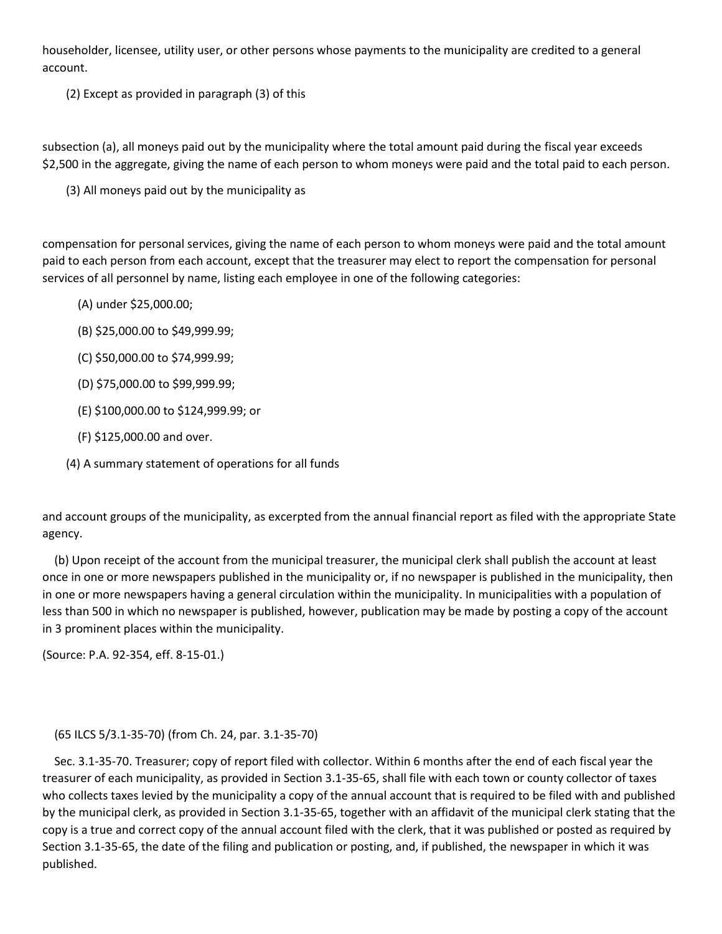householder, licensee, utility user, or other persons whose payments to the municipality are credited to a general account.

(2) Except as provided in paragraph (3) of this

subsection (a), all moneys paid out by the municipality where the total amount paid during the fiscal year exceeds \$2,500 in the aggregate, giving the name of each person to whom moneys were paid and the total paid to each person.

(3) All moneys paid out by the municipality as

compensation for personal services, giving the name of each person to whom moneys were paid and the total amount paid to each person from each account, except that the treasurer may elect to report the compensation for personal services of all personnel by name, listing each employee in one of the following categories:

- (A) under \$25,000.00;
- (B) \$25,000.00 to \$49,999.99;
- (C) \$50,000.00 to \$74,999.99;
- (D) \$75,000.00 to \$99,999.99;
- (E) \$100,000.00 to \$124,999.99; or
- (F) \$125,000.00 and over.
- (4) A summary statement of operations for all funds

and account groups of the municipality, as excerpted from the annual financial report as filed with the appropriate State agency.

 (b) Upon receipt of the account from the municipal treasurer, the municipal clerk shall publish the account at least once in one or more newspapers published in the municipality or, if no newspaper is published in the municipality, then in one or more newspapers having a general circulation within the municipality. In municipalities with a population of less than 500 in which no newspaper is published, however, publication may be made by posting a copy of the account in 3 prominent places within the municipality.

(Source: P.A. 92-354, eff. 8-15-01.)

(65 ILCS 5/3.1-35-70) (from Ch. 24, par. 3.1-35-70)

 Sec. 3.1-35-70. Treasurer; copy of report filed with collector. Within 6 months after the end of each fiscal year the treasurer of each municipality, as provided in Section 3.1-35-65, shall file with each town or county collector of taxes who collects taxes levied by the municipality a copy of the annual account that is required to be filed with and published by the municipal clerk, as provided in Section 3.1-35-65, together with an affidavit of the municipal clerk stating that the copy is a true and correct copy of the annual account filed with the clerk, that it was published or posted as required by Section 3.1-35-65, the date of the filing and publication or posting, and, if published, the newspaper in which it was published.